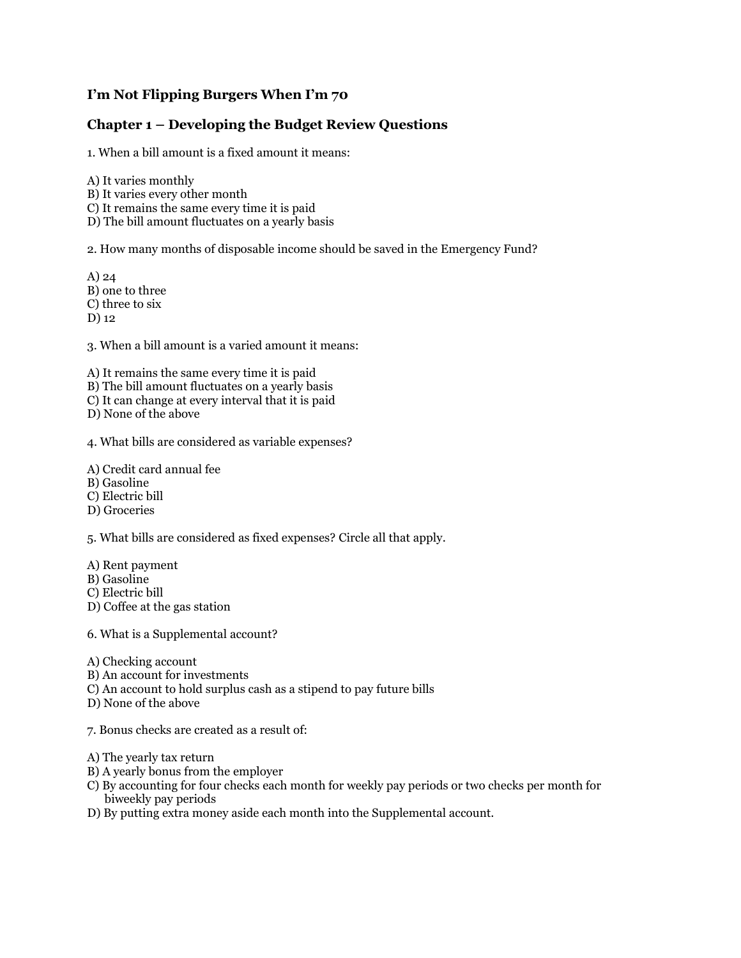## **I'm Not Flipping Burgers When I'm 70**

## **Chapter 1 – Developing the Budget Review Questions**

1. When a bill amount is a fixed amount it means:

A) It varies monthly B) It varies every other month C) It remains the same every time it is paid D) The bill amount fluctuates on a yearly basis

2. How many months of disposable income should be saved in the Emergency Fund?

A) 24 B) one to three C) three to six D) 12

3. When a bill amount is a varied amount it means:

A) It remains the same every time it is paid B) The bill amount fluctuates on a yearly basis C) It can change at every interval that it is paid D) None of the above

4. What bills are considered as variable expenses?

A) Credit card annual fee

B) Gasoline

C) Electric bill

D) Groceries

5. What bills are considered as fixed expenses? Circle all that apply.

A) Rent payment B) Gasoline

C) Electric bill

D) Coffee at the gas station

6. What is a Supplemental account?

A) Checking account

- B) An account for investments
- C) An account to hold surplus cash as a stipend to pay future bills

D) None of the above

7. Bonus checks are created as a result of:

- A) The yearly tax return
- B) A yearly bonus from the employer
- C) By accounting for four checks each month for weekly pay periods or two checks per month for biweekly pay periods
- D) By putting extra money aside each month into the Supplemental account.